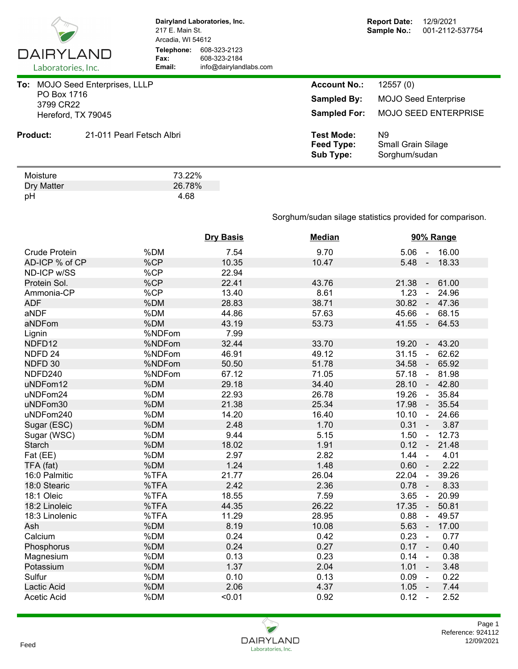

pH 4.68

**Dairyland Laboratories, Inc.** 217 E. Main St. Arcadia, WI 54612 **Telephone:** 608-323-2123 **Fax:** 608-323-2184<br> **Email:** info@dairyland **Email:** info@dairylandlabs.com

| 3799 CR22                    | To: MOJO Seed Enterprises, LLLP<br>PO Box 1716<br>Hereford, TX 79045 | <b>Account No.:</b><br><b>Sampled By:</b><br><b>Sampled For:</b> | 12557(0)<br><b>MOJO Seed Enterprise</b><br><b>MOJO SEED ENTERPRISE</b><br>N9<br><b>Small Grain Silage</b><br>Sorghum/sudan |
|------------------------------|----------------------------------------------------------------------|------------------------------------------------------------------|----------------------------------------------------------------------------------------------------------------------------|
| <b>Product:</b>              | 21-011 Pearl Fetsch Albri                                            | <b>Test Mode:</b><br>Feed Type:<br><b>Sub Type:</b>              |                                                                                                                            |
| Moisture<br>Dry Matter<br>pH | 73.22%<br>26.78%<br>4.68                                             |                                                                  |                                                                                                                            |

## Sorghum/sudan silage statistics provided for comparison.

|                      |        | <b>Dry Basis</b> | <b>Median</b> | 90% Range                                |
|----------------------|--------|------------------|---------------|------------------------------------------|
| <b>Crude Protein</b> | %DM    | 7.54             | 9.70          | 16.00<br>5.06<br>$\sim$                  |
| AD-ICP % of CP       | %CP    | 10.35            | 10.47         | $5.48 -$<br>18.33                        |
| ND-ICP w/SS          | %CP    | 22.94            |               |                                          |
| Protein Sol.         | %CP    | 22.41            | 43.76         | 61.00<br>21.38<br>$\sim$                 |
| Ammonia-CP           | %CP    | 13.40            | 8.61          | 1.23<br>24.96<br>$\blacksquare$          |
| <b>ADF</b>           | %DM    | 28.83            | 38.71         | 30.82<br>47.36<br>$\sim$                 |
| aNDF                 | %DM    | 44.86            | 57.63         | 45.66<br>68.15<br>$\sim$                 |
| aNDFom               | %DM    | 43.19            | 53.73         | 41.55<br>64.53<br>$\sim$                 |
| Lignin               | %NDFom | 7.99             |               |                                          |
| NDFD12               | %NDFom | 32.44            | 33.70         | 19.20<br>43.20<br>$\blacksquare$         |
| NDFD <sub>24</sub>   | %NDFom | 46.91            | 49.12         | 31.15<br>62.62<br>$\sim$                 |
| NDFD 30              | %NDFom | 50.50            | 51.78         | 34.58<br>65.92<br>♦                      |
| NDFD240              | %NDFom | 67.12            | 71.05         | 57.18<br>81.98<br>$\omega$               |
| uNDFom12             | %DM    | 29.18            | 34.40         | 28.10<br>$\sim 10$<br>42.80              |
| uNDFom24             | %DM    | 22.93            | 26.78         | 19.26<br>35.84<br>$\blacksquare$         |
| uNDFom30             | %DM    | 21.38            | 25.34         | 17.98<br>35.54<br>$\sim$                 |
| uNDFom240            | %DM    | 14.20            | 16.40         | 10.10<br>24.66<br>$\blacksquare$         |
| Sugar (ESC)          | %DM    | 2.48             | 1.70          | 0.31<br>3.87<br>$\sim$                   |
| Sugar (WSC)          | %DM    | 9.44             | 5.15          | 1.50<br>12.73<br>$\blacksquare$          |
| <b>Starch</b>        | %DM    | 18.02            | 1.91          | 0.12<br>21.48<br>$\blacksquare$          |
| Fat (EE)             | %DM    | 2.97             | 2.82          | 1.44<br>4.01<br>$\blacksquare$           |
| TFA (fat)            | %DM    | 1.24             | 1.48          | 0.60<br>2.22<br>$\blacksquare$           |
| 16:0 Palmitic        | %TFA   | 21.77            | 26.04         | 22.04<br>39.26<br>ä,                     |
| 18:0 Stearic         | %TFA   | 2.42             | 2.36          | 0.78<br>8.33<br>$\overline{\phantom{a}}$ |
| 18:1 Oleic           | %TFA   | 18.55            | 7.59          | 3.65<br>20.99<br>$\blacksquare$          |
| 18:2 Linoleic        | %TFA   | 44.35            | 26.22         | 17.35<br>50.81<br>$\blacksquare$         |
| 18:3 Linolenic       | %TFA   | 11.29            | 28.95         | 0.88<br>49.57<br>$\blacksquare$          |
| Ash                  | %DM    | 8.19             | 10.08         | 5.63<br>17.00<br>$\sim$                  |
| Calcium              | %DM    | 0.24             | 0.42          | 0.23<br>0.77<br>$\sim$                   |
| Phosphorus           | %DM    | 0.24             | 0.27          | $0.17 -$<br>0.40                         |
| Magnesium            | %DM    | 0.13             | 0.23          | 0.14<br>0.38<br>$\blacksquare$           |
| Potassium            | %DM    | 1.37             | 2.04          | 1.01<br>3.48<br>$\sim$ $-$               |
| Sulfur               | %DM    | 0.10             | 0.13          | 0.09<br>0.22<br>$\blacksquare$           |
| Lactic Acid          | %DM    | 2.06             | 4.37          | 1.05<br>7.44<br>$\sim$                   |
| <b>Acetic Acid</b>   | %DM    | < 0.01           | 0.92          | 0.12<br>2.52<br>$\sim$                   |